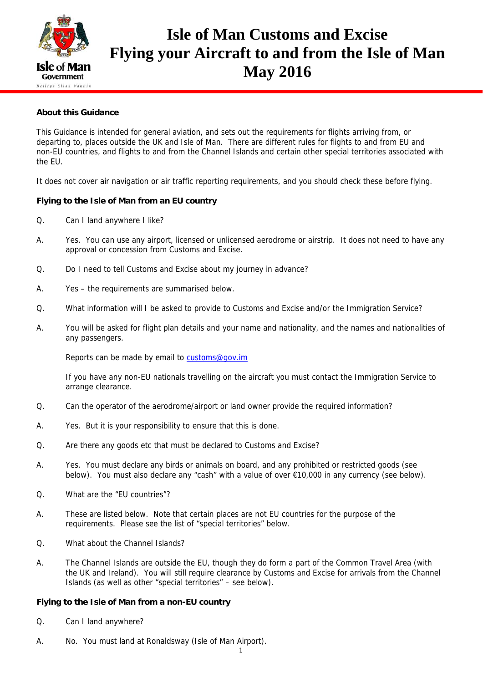

# **Isle of Man Customs and Excise Flying your Aircraft to and from the Isle of Man May 2016**

## **About this Guidance**

This Guidance is intended for general aviation, and sets out the requirements for flights arriving from, or departing to, places outside the UK and Isle of Man. There are different rules for flights to and from EU and non-EU countries, and flights to and from the Channel Islands and certain other special territories associated with the EU.

It does not cover air navigation or air traffic reporting requirements, and you should check these before flying.

#### **Flying to the Isle of Man from an EU country**

- Q. Can I land anywhere I like?
- A. Yes. You can use any airport, licensed or unlicensed aerodrome or airstrip. It does not need to have any approval or concession from Customs and Excise.
- Q. Do I need to tell Customs and Excise about my journey in advance?
- A. Yes the requirements are summarised below.
- Q. What information will I be asked to provide to Customs and Excise and/or the Immigration Service?
- A. You will be asked for flight plan details and your name and nationality, and the names and nationalities of any passengers.

Reports can be made by email to customs@gov.im

 If you have any non-EU nationals travelling on the aircraft you must contact the Immigration Service to arrange clearance.

- Q. Can the operator of the aerodrome/airport or land owner provide the required information?
- A. Yes. But it is your responsibility to ensure that this is done.
- Q. Are there any goods etc that must be declared to Customs and Excise?
- A. Yes. You must declare any birds or animals on board, and any prohibited or restricted goods (see below). You must also declare any "cash" with a value of over €10,000 in any currency (see below).
- Q. What are the "EU countries"?
- A. These are listed below. Note that certain places are not EU countries for the purpose of the requirements. Please see the list of "special territories" below.
- Q. What about the Channel Islands?
- A. The Channel Islands are outside the EU, though they do form a part of the Common Travel Area (with the UK and Ireland). You will still require clearance by Customs and Excise for arrivals from the Channel Islands (as well as other "special territories" – see below).

#### **Flying to the Isle of Man from a non-EU country**

- Q. Can I land anywhere?
- A. No. You must land at Ronaldsway (Isle of Man Airport).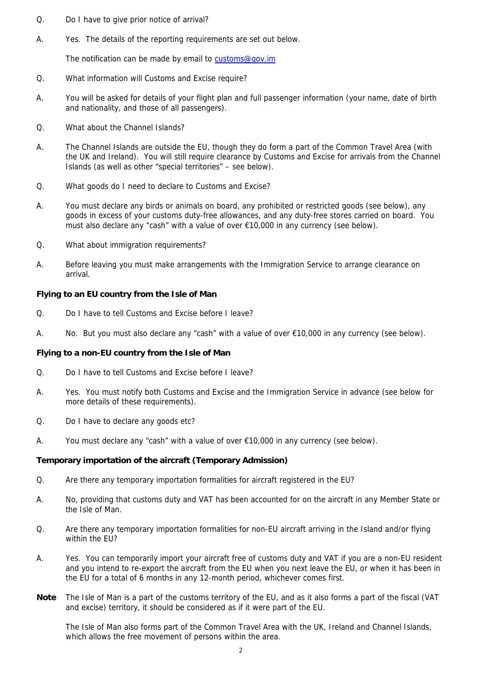- Q. Do I have to give prior notice of arrival?
- A. Yes. The details of the reporting requirements are set out below.

The notification can be made by email to customs@gov.im

- Q. What information will Customs and Excise require?
- A. You will be asked for details of your flight plan and full passenger information (your name, date of birth and nationality, and those of all passengers).
- Q. What about the Channel Islands?
- A. The Channel Islands are outside the EU, though they do form a part of the Common Travel Area (with the UK and Ireland). You will still require clearance by Customs and Excise for arrivals from the Channel Islands (as well as other "special territories" – see below).
- Q. What goods do I need to declare to Customs and Excise?
- A. You must declare any birds or animals on board, any prohibited or restricted goods (see below), any goods in excess of your customs duty-free allowances, and any duty-free stores carried on board. You must also declare any "cash" with a value of over €10,000 in any currency (see below).
- Q. What about immigration requirements?
- A. Before leaving you must make arrangements with the Immigration Service to arrange clearance on arrival.

#### **Flying to an EU country from the Isle of Man**

- Q. Do I have to tell Customs and Excise before I leave?
- A. No. But you must also declare any "cash" with a value of over €10,000 in any currency (see below).

#### **Flying to a non-EU country from the Isle of Man**

- Q. Do I have to tell Customs and Excise before I leave?
- A. Yes. You must notify both Customs and Excise and the Immigration Service in advance (see below for more details of these requirements).
- Q. Do I have to declare any goods etc?
- A. You must declare any "cash" with a value of over  $E10,000$  in any currency (see below).

#### **Temporary importation of the aircraft (Temporary Admission)**

- Q. Are there any temporary importation formalities for aircraft registered in the EU?
- A. No, providing that customs duty and VAT has been accounted for on the aircraft in any Member State or the Isle of Man.
- Q. Are there any temporary importation formalities for non-EU aircraft arriving in the Island and/or flying within the EU?
- A. Yes. You can temporarily import your aircraft free of customs duty and VAT if you are a non-EU resident and you intend to re-export the aircraft from the EU when you next leave the EU, or when it has been in the EU for a total of 6 months in any 12-month period, whichever comes first.
- **Note** The Isle of Man is a part of the customs territory of the EU, and as it also forms a part of the fiscal (VAT and excise) territory, it should be considered as if it were part of the EU.

 The Isle of Man also forms part of the Common Travel Area with the UK, Ireland and Channel Islands, which allows the free movement of persons within the area.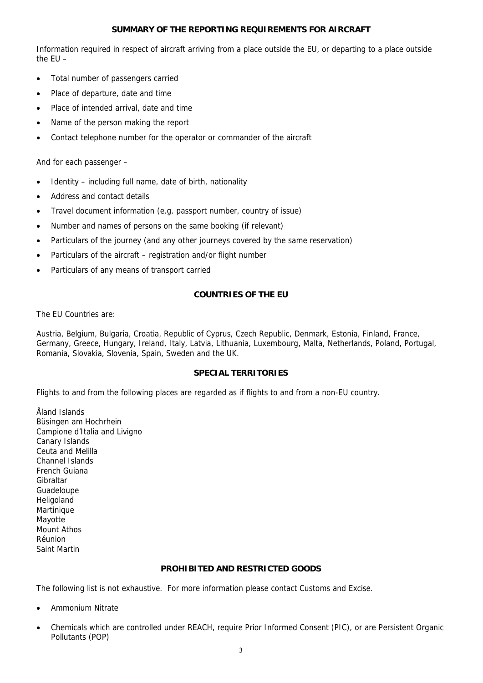#### **SUMMARY OF THE REPORTING REQUIREMENTS FOR AIRCRAFT**

Information required in respect of aircraft arriving from a place outside the EU, or departing to a place outside the EU –

- Total number of passengers carried
- Place of departure, date and time
- Place of intended arrival, date and time
- Name of the person making the report
- Contact telephone number for the operator or commander of the aircraft

And for each passenger –

- Identity including full name, date of birth, nationality
- Address and contact details
- Travel document information (e.g. passport number, country of issue)
- Number and names of persons on the same booking (if relevant)
- Particulars of the journey (and any other journeys covered by the same reservation)
- Particulars of the aircraft registration and/or flight number
- Particulars of any means of transport carried

## **COUNTRIES OF THE EU**

The EU Countries are:

Austria, Belgium, Bulgaria, Croatia, Republic of Cyprus, Czech Republic, Denmark, Estonia, Finland, France, Germany, Greece, Hungary, Ireland, Italy, Latvia, Lithuania, Luxembourg, Malta, Netherlands, Poland, Portugal, Romania, Slovakia, Slovenia, Spain, Sweden and the UK.

## **SPECIAL TERRITORIES**

Flights to and from the following places are regarded as if flights to and from a non-EU country.

Åland Islands Büsingen am Hochrhein Campione d'Italia and Livigno Canary Islands Ceuta and Melilla Channel Islands French Guiana Gibraltar Guadeloupe Heligoland Martinique Mayotte Mount Athos Réunion Saint Martin

# **PROHIBITED AND RESTRICTED GOODS**

The following list is not exhaustive. For more information please contact Customs and Excise.

- Ammonium Nitrate
- Chemicals which are controlled under REACH, require Prior Informed Consent (PIC), or are Persistent Organic Pollutants (POP)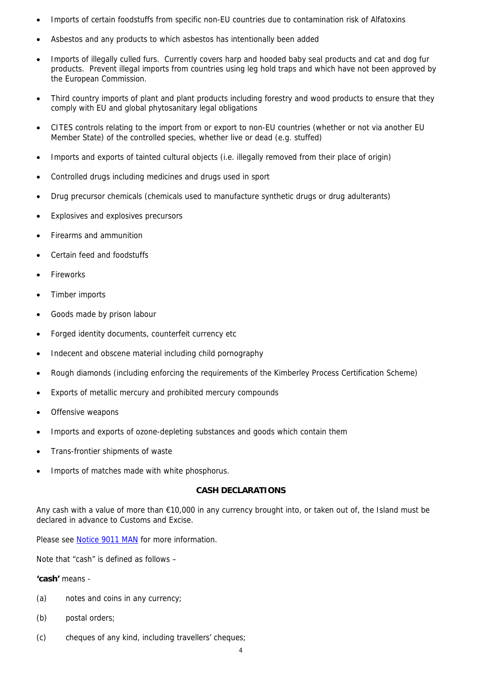- Imports of certain foodstuffs from specific non-EU countries due to contamination risk of Alfatoxins
- Asbestos and any products to which asbestos has intentionally been added
- Imports of illegally culled furs. Currently covers harp and hooded baby seal products and cat and dog fur products. Prevent illegal imports from countries using leg hold traps and which have not been approved by the European Commission.
- Third country imports of plant and plant products including forestry and wood products to ensure that they comply with EU and global phytosanitary legal obligations
- CITES controls relating to the import from or export to non-EU countries (whether or not via another EU Member State) of the controlled species, whether live or dead (e.g. stuffed)
- Imports and exports of tainted cultural objects (i.e. illegally removed from their place of origin)
- Controlled drugs including medicines and drugs used in sport
- Drug precursor chemicals (chemicals used to manufacture synthetic drugs or drug adulterants)
- Explosives and explosives precursors
- Firearms and ammunition
- Certain feed and foodstuffs
- Fireworks
- Timber imports
- Goods made by prison labour
- Forged identity documents, counterfeit currency etc
- Indecent and obscene material including child pornography
- Rough diamonds (including enforcing the requirements of the Kimberley Process Certification Scheme)
- Exports of metallic mercury and prohibited mercury compounds
- Offensive weapons
- Imports and exports of ozone-depleting substances and goods which contain them
- Trans-frontier shipments of waste
- Imports of matches made with white phosphorus.

#### **CASH DECLARATIONS**

Any cash with a value of more than €10,000 in any currency brought into, or taken out of, the Island must be declared in advance to Customs and Excise.

Please see Notice 9011 MAN for more information.

Note that "cash" is defined as follows –

#### **'cash'** means -

- (a) notes and coins in any currency;
- (b) postal orders;
- (c) cheques of any kind, including travellers' cheques;